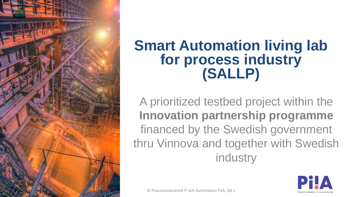

## **Smart Automation living lab for process industry (SALLP)**

A prioritized testbed project within the **Innovation partnership programme**  financed by the Swedish government thru Vinnova and together with Swedish industry

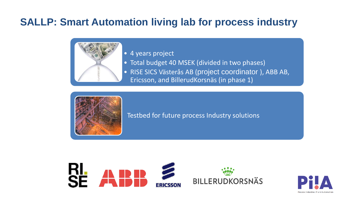## **SALLP: Smart Automation living lab for process industry**



• 4 years project

- Total budget 40 MSEK (divided in two phases)
- RISE SICS Västerås AB (project coordinator ), ABB AB,
- Ericsson, and BillerudKorsnäs (in phase 1)



Testbed for future process Industry solutions



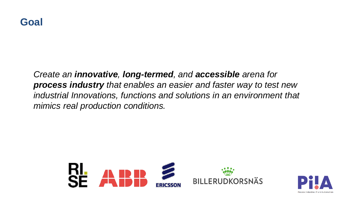

*Create an innovative, long-termed, and accessible arena for process industry that enables an easier and faster way to test new industrial Innovations, functions and solutions in an environment that mimics real production conditions.*



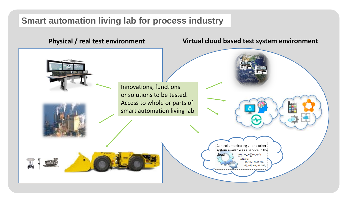## **Smart automation living lab for process industry**